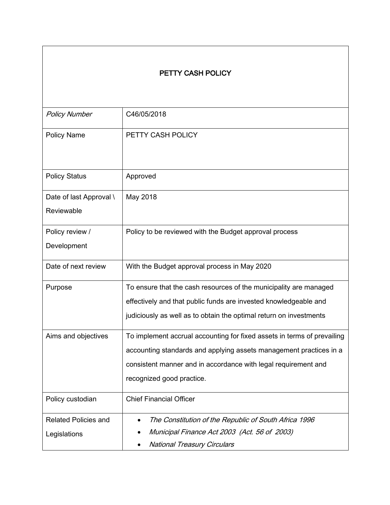### PETTY CASH POLICY

| <b>Policy Number</b>                        | C46/05/2018                                                                                                                                                                                                                                  |
|---------------------------------------------|----------------------------------------------------------------------------------------------------------------------------------------------------------------------------------------------------------------------------------------------|
| <b>Policy Name</b>                          | PETTY CASH POLICY                                                                                                                                                                                                                            |
| <b>Policy Status</b>                        | Approved                                                                                                                                                                                                                                     |
| Date of last Approval \<br>Reviewable       | May 2018                                                                                                                                                                                                                                     |
| Policy review /<br>Development              | Policy to be reviewed with the Budget approval process                                                                                                                                                                                       |
| Date of next review                         | With the Budget approval process in May 2020                                                                                                                                                                                                 |
| Purpose                                     | To ensure that the cash resources of the municipality are managed<br>effectively and that public funds are invested knowledgeable and<br>judiciously as well as to obtain the optimal return on investments                                  |
| Aims and objectives                         | To implement accrual accounting for fixed assets in terms of prevailing<br>accounting standards and applying assets management practices in a<br>consistent manner and in accordance with legal requirement and<br>recognized good practice. |
| Policy custodian                            | <b>Chief Financial Officer</b>                                                                                                                                                                                                               |
| <b>Related Policies and</b><br>Legislations | The Constitution of the Republic of South Africa 1996<br>Municipal Finance Act 2003 (Act. 56 of 2003)<br><b>National Treasury Circulars</b>                                                                                                  |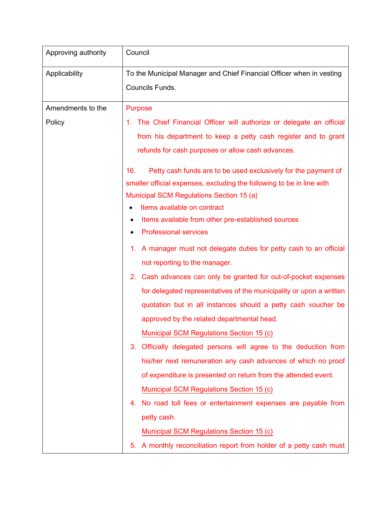| Approving authority | Council                                                                            |
|---------------------|------------------------------------------------------------------------------------|
| Applicability       | To the Municipal Manager and Chief Financial Officer when in vesting               |
|                     | Councils Funds.                                                                    |
| Amendments to the   | <b>Purpose</b>                                                                     |
| Policy              | 1. The Chief Financial Officer will authorize or delegate an official              |
|                     | from his department to keep a petty cash register and to grant                     |
|                     | refunds for cash purposes or allow cash advances.                                  |
|                     | Petty cash funds are to be used exclusively for the payment of<br>16.              |
|                     | smaller official expenses, excluding the following to be in line with              |
|                     | Municipal SCM Regulations Section 15 (a)                                           |
|                     | Items available on contract                                                        |
|                     | Items available from other pre-established sources<br><b>Professional services</b> |
|                     |                                                                                    |
|                     | A manager must not delegate duties for petty cash to an official<br>1.             |
|                     | not reporting to the manager.                                                      |
|                     | 2. Cash advances can only be granted for out-of-pocket expenses                    |
|                     | for delegated representatives of the municipality or upon a written                |
|                     | quotation but in all instances should a petty cash voucher be                      |
|                     | approved by the related departmental head.                                         |
|                     | Municipal SCM Regulations Section 15 (c)                                           |
|                     | Officially delegated persons will agree to the deduction from<br>3.                |
|                     | his/her next remuneration any cash advances of which no proof                      |
|                     | of expenditure is presented on return from the attended event.                     |
|                     | Municipal SCM Regulations Section 15 (c)                                           |
|                     | No road toll fees or entertainment expenses are payable from<br>4.                 |
|                     | petty cash.                                                                        |
|                     | Municipal SCM Regulations Section 15 (c)                                           |
|                     | A monthly reconciliation report from holder of a petty cash must<br>5.             |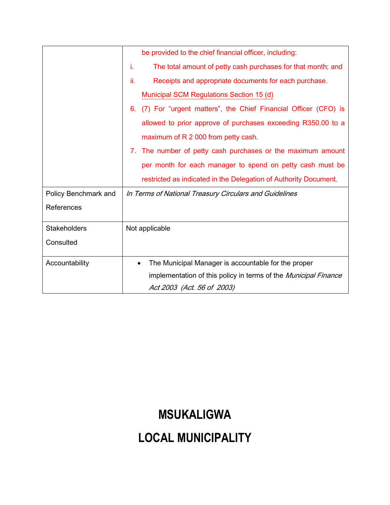|                      | be provided to the chief financial officer, including:                 |
|----------------------|------------------------------------------------------------------------|
|                      | The total amount of petty cash purchases for that month; and<br>Ť.     |
|                      | ii.<br>Receipts and appropriate documents for each purchase.           |
|                      | Municipal SCM Regulations Section 15 (d)                               |
|                      | (7) For "urgent matters", the Chief Financial Officer (CFO) is<br>6.   |
|                      | allowed to prior approve of purchases exceeding R350.00 to a           |
|                      | maximum of R 2 000 from petty cash.                                    |
|                      | The number of petty cash purchases or the maximum amount<br>7.         |
|                      | per month for each manager to spend on petty cash must be              |
|                      | restricted as indicated in the Delegation of Authority Document.       |
| Policy Benchmark and | In Terms of National Treasury Circulars and Guidelines                 |
| References           |                                                                        |
|                      |                                                                        |
| <b>Stakeholders</b>  | Not applicable                                                         |
| Consulted            |                                                                        |
|                      |                                                                        |
| Accountability       | The Municipal Manager is accountable for the proper<br>٠               |
|                      | implementation of this policy in terms of the <i>Municipal Finance</i> |
|                      | Act 2003 (Act. 56 of 2003)                                             |

## **MSUKALIGWA**

## **LOCAL MUNICIPALITY**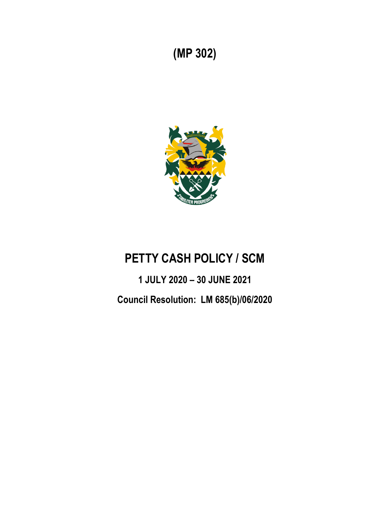## **(MP 302)**



## **PETTY CASH POLICY / SCM**

# **1 JULY 2020 – 30 JUNE 2021 Council Resolution: LM 685(b)/06/2020**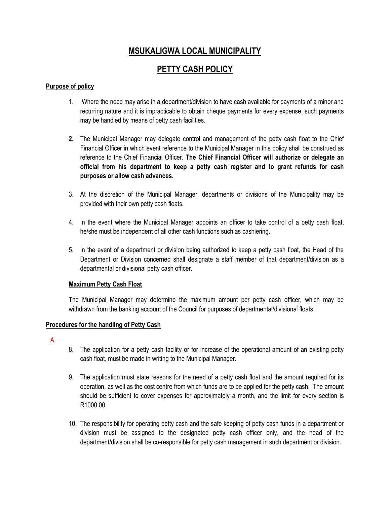### **MSUKALIGWA LOCAL MUNICIPALITY**

### **PETTY CASH POLICY**

### **Purpose of policy**

- 1. Where the need may arise in a department/division to have cash available for payments of a minor and recurring nature and it is impracticable to obtain cheque payments for every expense, such payments may be handled by means of petty cash facilities.
- **2.** The Municipal Manager may delegate control and management of the petty cash float to the Chief Financial Officer in which event reference to the Municipal Manager in this policy shall be construed as reference to the Chief Financial Officer. **The Chief Financial Officer will authorize or delegate an official from his department to keep a petty cash register and to grant refunds for cash purposes or allow cash advances.**
- 3. At the discretion of the Municipal Manager, departments or divisions of the Municipality may be provided with their own petty cash floats.
- 4. In the event where the Municipal Manager appoints an officer to take control of a petty cash float, he/she must be independent of all other cash functions such as cashiering.
- 5. In the event of a department or division being authorized to keep a petty cash float, the Head of the Department or Division concerned shall designate a staff member of that department/division as a departmental or divisional petty cash officer.

#### **Maximum Petty Cash Float**

The Municipal Manager may determine the maximum amount per petty cash officer, which may be withdrawn from the banking account of the Council for purposes of departmental/divisional floats.

#### **Procedures for the handling of Petty Cash**

A.

- 8. The application for a petty cash facility or for increase of the operational amount of an existing petty cash float, must be made in writing to the Municipal Manager.
- 9. The application must state reasons for the need of a petty cash float and the amount required for its operation, as well as the cost centre from which funds are to be applied for the petty cash. The amount should be sufficient to cover expenses for approximately a month, and the limit for every section is R1000.00.
- 10. The responsibility for operating petty cash and the safe keeping of petty cash funds in a department or division must be assigned to the designated petty cash officer only, and the head of the department/division shall be co-responsible for petty cash management in such department or division.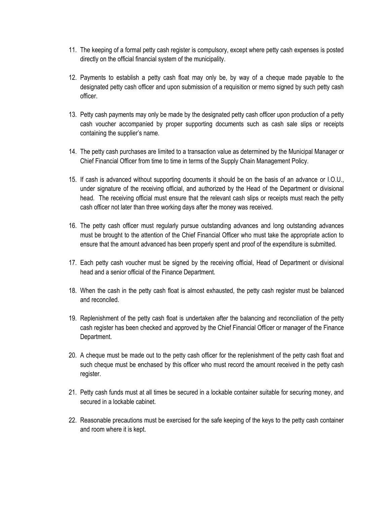- 11. The keeping of a formal petty cash register is compulsory, except where petty cash expenses is posted directly on the official financial system of the municipality.
- 12. Payments to establish a petty cash float may only be, by way of a cheque made payable to the designated petty cash officer and upon submission of a requisition or memo signed by such petty cash officer.
- 13. Petty cash payments may only be made by the designated petty cash officer upon production of a petty cash voucher accompanied by proper supporting documents such as cash sale slips or receipts containing the supplier's name.
- 14. The petty cash purchases are limited to a transaction value as determined by the Municipal Manager or Chief Financial Officer from time to time in terms of the Supply Chain Management Policy.
- 15. If cash is advanced without supporting documents it should be on the basis of an advance or I.O.U., under signature of the receiving official, and authorized by the Head of the Department or divisional head. The receiving official must ensure that the relevant cash slips or receipts must reach the petty cash officer not later than three working days after the money was received.
- 16. The petty cash officer must regularly pursue outstanding advances and long outstanding advances must be brought to the attention of the Chief Financial Officer who must take the appropriate action to ensure that the amount advanced has been properly spent and proof of the expenditure is submitted.
- 17. Each petty cash voucher must be signed by the receiving official, Head of Department or divisional head and a senior official of the Finance Department.
- 18. When the cash in the petty cash float is almost exhausted, the petty cash register must be balanced and reconciled.
- 19. Replenishment of the petty cash float is undertaken after the balancing and reconciliation of the petty cash register has been checked and approved by the Chief Financial Officer or manager of the Finance Department.
- 20. A cheque must be made out to the petty cash officer for the replenishment of the petty cash float and such cheque must be enchased by this officer who must record the amount received in the petty cash register.
- 21. Petty cash funds must at all times be secured in a lockable container suitable for securing money, and secured in a lockable cabinet.
- 22. Reasonable precautions must be exercised for the safe keeping of the keys to the petty cash container and room where it is kept.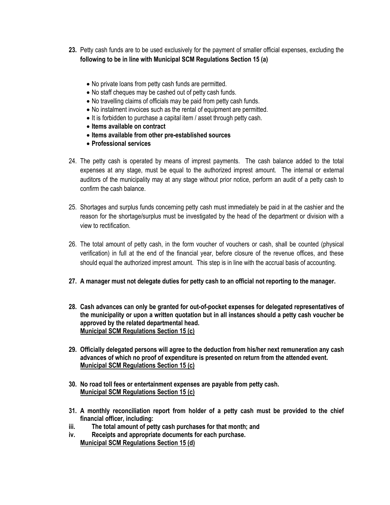- **23.** Petty cash funds are to be used exclusively for the payment of smaller official expenses, excluding the **following to be in line with Municipal SCM Regulations Section 15 (a)**
	- No private loans from petty cash funds are permitted.
	- No staff cheques may be cashed out of petty cash funds.
	- No travelling claims of officials may be paid from petty cash funds.
	- No instalment invoices such as the rental of equipment are permitted.
	- It is forbidden to purchase a capital item / asset through petty cash.
	- **Items available on contract**
	- **Items available from other pre-established sources**
	- **Professional services**
- 24. The petty cash is operated by means of imprest payments. The cash balance added to the total expenses at any stage, must be equal to the authorized imprest amount. The internal or external auditors of the municipality may at any stage without prior notice, perform an audit of a petty cash to confirm the cash balance.
- 25. Shortages and surplus funds concerning petty cash must immediately be paid in at the cashier and the reason for the shortage/surplus must be investigated by the head of the department or division with a view to rectification.
- 26. The total amount of petty cash, in the form voucher of vouchers or cash, shall be counted (physical verification) in full at the end of the financial year, before closure of the revenue offices, and these should equal the authorized imprest amount. This step is in line with the accrual basis of accounting.
- **27. A manager must not delegate duties for petty cash to an official not reporting to the manager.**
- **28. Cash advances can only be granted for out-of-pocket expenses for delegated representatives of the municipality or upon a written quotation but in all instances should a petty cash voucher be approved by the related departmental head. [Municipal SCM Regulations Section 15 \(c\)](file:///C:/Users/ruan.oberholster/Documents/Acts%20&%20Regulations%20Hyperlinked.docx%23MSCMRsection15nr1c)**
- **29. Officially delegated persons will agree to the deduction from his/her next remuneration any cash advances of which no proof of expenditure is presented on return from the attended event. [Municipal SCM Regulations Section 15 \(c\)](file:///C:/Users/ruan.oberholster/Documents/Acts%20&%20Regulations%20Hyperlinked.docx%23MSCMRsection15nr1c)**
- **30. No road toll fees or entertainment expenses are payable from petty cash. [Municipal SCM Regulations](file:///C:/Users/ruan.oberholster/Documents/Acts%20&%20Regulations%20Hyperlinked.docx%23MSCMRsection15nr1c) Section 15 (c)**
- **31. A monthly reconciliation report from holder of a petty cash must be provided to the chief financial officer, including:**
- **iii. The total amount of petty cash purchases for that month; and**
- **iv. Receipts and appropriate documents for each purchase. [Municipal SCM Regulations Section 15 \(d\)](file:///C:/Users/ruan.oberholster/Documents/Acts%20&%20Regulations%20Hyperlinked.docx%23MSCMRsection15nr1d)**